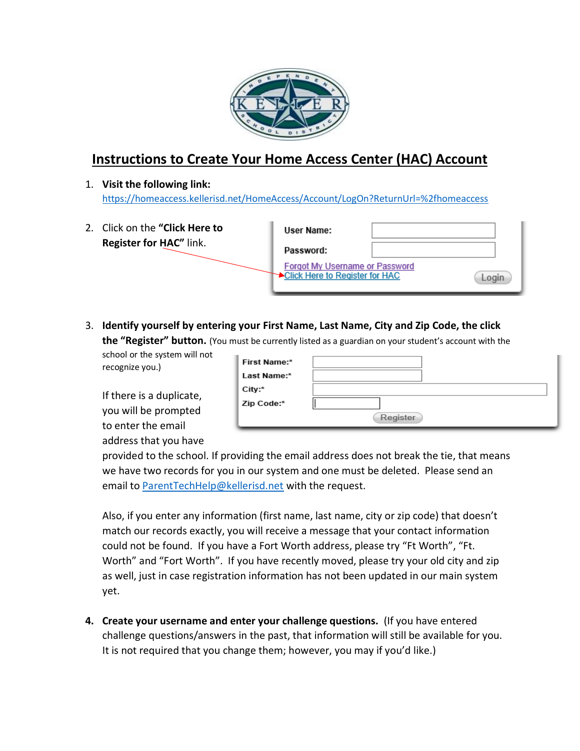

## **Instructions to Create Your Home Access Center (HAC) Account**

1. **Visit the following link:**  <https://homeaccess.kellerisd.net/HomeAccess/Account/LogOn?ReturnUrl=%2fhomeaccess>

| 2. Click on the "Click Here to | User Name:                                                              |  |
|--------------------------------|-------------------------------------------------------------------------|--|
| Register for HAC" link.        | Password:                                                               |  |
|                                | <b>Forgot My Username or Password</b><br>Click Here to Register for HAC |  |

3. **Identify yourself by entering your First Name, Last Name, City and Zip Code, the click the "Register" button.** (You must be currently listed as a guardian on your student's account with the

school or the system will not

recognize you.)

If there is a duplicate, you will be prompted to enter the email address that you have

| First Name:* |          |
|--------------|----------|
| Last Name:*  |          |
| City:*       |          |
| Zip Code:*   |          |
|              | Register |

provided to the school. If providing the email address does not break the tie, that means we have two records for you in our system and one must be deleted. Please send an email to [ParentTechHelp@kellerisd.net](mailto:ParentTechHelp@kellerisd.net) with the request.

Also, if you enter any information (first name, last name, city or zip code) that doesn't match our records exactly, you will receive a message that your contact information could not be found. If you have a Fort Worth address, please try "Ft Worth", "Ft. Worth" and "Fort Worth". If you have recently moved, please try your old city and zip as well, just in case registration information has not been updated in our main system yet.

**4. Create your username and enter your challenge questions.** (If you have entered challenge questions/answers in the past, that information will still be available for you. It is not required that you change them; however, you may if you'd like.)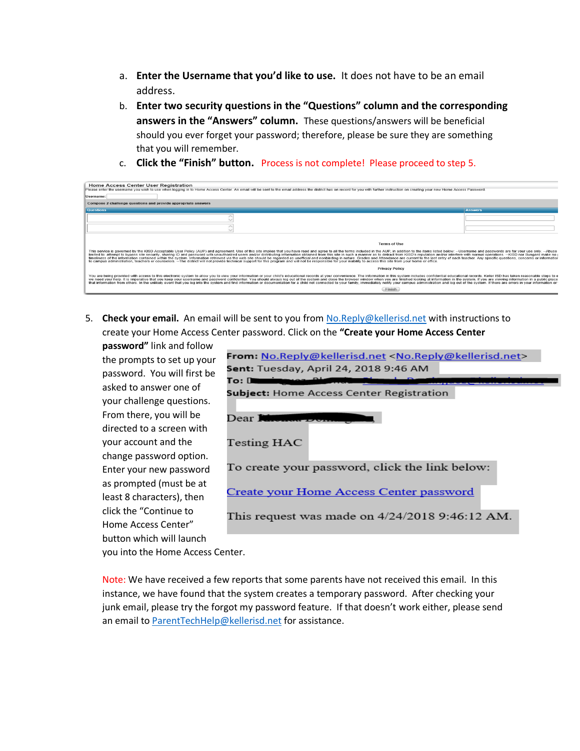- a. **Enter the Username that you'd like to use.** It does not have to be an email address.
- b. **Enter two security questions in the "Questions" column and the corresponding answers in the "Answers" column.** These questions/answers will be beneficial should you ever forget your password; therefore, please be sure they are something that you will remember.
- c. **Click the "Finish" button.** Process is not complete! Please proceed to step 5.

| <b>Home Access Center User Registration</b><br>Please enter the username you wish to use when logging in to Home Access Center. An email will be sent to the email address the district has on record for you with further instruction on creating your new Home Access Passw                                                                                                                                                                                                                                                                                                                                                                                                                                                                                                                                                                                                                                           |                |  |  |  |  |
|-------------------------------------------------------------------------------------------------------------------------------------------------------------------------------------------------------------------------------------------------------------------------------------------------------------------------------------------------------------------------------------------------------------------------------------------------------------------------------------------------------------------------------------------------------------------------------------------------------------------------------------------------------------------------------------------------------------------------------------------------------------------------------------------------------------------------------------------------------------------------------------------------------------------------|----------------|--|--|--|--|
| Username:                                                                                                                                                                                                                                                                                                                                                                                                                                                                                                                                                                                                                                                                                                                                                                                                                                                                                                               |                |  |  |  |  |
| Compose 2 challenge questions and provide appropriate answers                                                                                                                                                                                                                                                                                                                                                                                                                                                                                                                                                                                                                                                                                                                                                                                                                                                           |                |  |  |  |  |
| <b>Questions</b>                                                                                                                                                                                                                                                                                                                                                                                                                                                                                                                                                                                                                                                                                                                                                                                                                                                                                                        | <b>Answers</b> |  |  |  |  |
|                                                                                                                                                                                                                                                                                                                                                                                                                                                                                                                                                                                                                                                                                                                                                                                                                                                                                                                         |                |  |  |  |  |
|                                                                                                                                                                                                                                                                                                                                                                                                                                                                                                                                                                                                                                                                                                                                                                                                                                                                                                                         |                |  |  |  |  |
|                                                                                                                                                                                                                                                                                                                                                                                                                                                                                                                                                                                                                                                                                                                                                                                                                                                                                                                         |                |  |  |  |  |
| <b>Terms of Use</b>                                                                                                                                                                                                                                                                                                                                                                                                                                                                                                                                                                                                                                                                                                                                                                                                                                                                                                     |                |  |  |  |  |
| This service is governed by the KISD Acceptable User Policy (AUP) and agreement. Use of this site implies that you have read and agree to all the terms included in the AUP. in addition to the items listed below: --Username<br>limited to: attempt to bypass site security, sharing ID and password with unauthorized users and/or distributing information obtained from this site in such a manner as to detract from KISD's reputation and/or interfere wi<br>timeliness of the information contained within the system. Information retrieved via the web site should be regarded as unofficial and nonbinding in nature. Grades and Attendance are current to the last entry of each teach<br>to campus administration, teachers or counselors. --The district will not provide technical support for this program and will not be responsible for your inability to access this site from your home or office. |                |  |  |  |  |
| <b>Privacy Policy</b>                                                                                                                                                                                                                                                                                                                                                                                                                                                                                                                                                                                                                                                                                                                                                                                                                                                                                                   |                |  |  |  |  |
| You are being provided with access to this electronic system to allow you to view your information or your child's educational records at your convenience. The information in this system includes confidential educational r<br>we need your help. It is imperative that you keep your username and password confidential. You should always log out of the system and close the browser window when you are finished looking at information in the system. If<br>that information from others. In the unlikely event that you log into the system and find information or documentation for a child not connected to your family, immediately notify your campus administration and log out of                                                                                                                                                                                                                       |                |  |  |  |  |
| Finish.                                                                                                                                                                                                                                                                                                                                                                                                                                                                                                                                                                                                                                                                                                                                                                                                                                                                                                                 |                |  |  |  |  |

5. **Check your email.** An email will be sent to you from [No.Reply@kellerisd.net](mailto:No.Reply@kellerisd.net) with instructions to create your Home Access Center password. Click on the **"Create your Home Access Center** 

**password"** link and follow the prompts to set up your password. You will first be asked to answer one of your challenge questions. From there, you will be directed to a screen with your account and the change password option. Enter your new password as prompted (must be at least 8 characters), then click the "Continue to Home Access Center" button which will launch

| <b>From:</b> No.Reply@kellerisd.net <no.reply@kellerisd.net></no.reply@kellerisd.net> |  |  |  |  |  |  |  |
|---------------------------------------------------------------------------------------|--|--|--|--|--|--|--|
| <b>Sent:</b> Tuesday, April 24, 2018 9:46 AM                                          |  |  |  |  |  |  |  |
| To: De                                                                                |  |  |  |  |  |  |  |
| Subject: Home Access Center Registration                                              |  |  |  |  |  |  |  |
| Dear <b>Niverton</b> Do                                                               |  |  |  |  |  |  |  |
| Testing HAC                                                                           |  |  |  |  |  |  |  |
| To create your password, click the link below:                                        |  |  |  |  |  |  |  |
| Create your Home Access Center password                                               |  |  |  |  |  |  |  |
| This request was made on $4/24/2018$ 9:46:12 AM.                                      |  |  |  |  |  |  |  |

you into the Home Access Center.

Note: We have received a few reports that some parents have not received this email. In this instance, we have found that the system creates a temporary password. After checking your junk email, please try the forgot my password feature. If that doesn't work either, please send an email to ParentTechHelp@kellerisd.net for assistance.